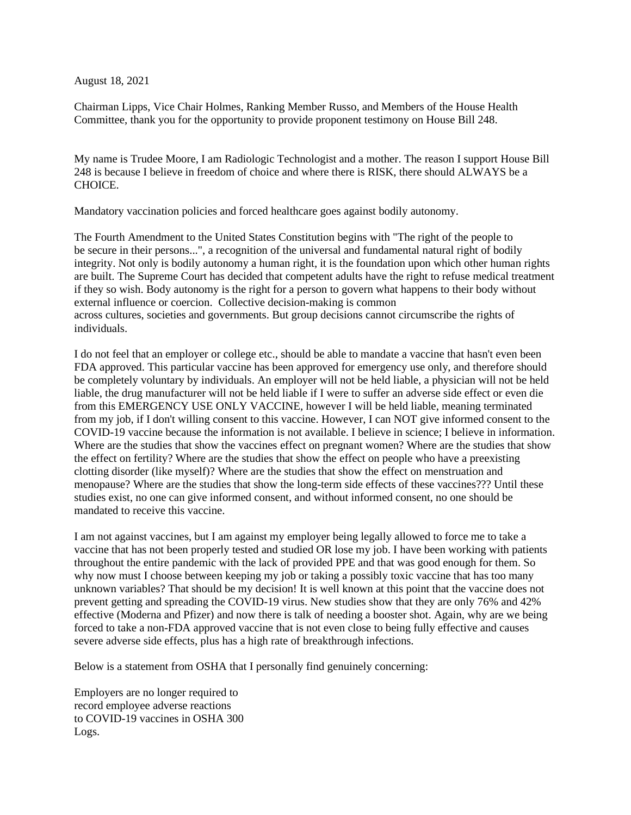August 18, 2021

Chairman Lipps, Vice Chair Holmes, Ranking Member Russo, and Members of the House Health Committee, thank you for the opportunity to provide proponent testimony on House Bill 248.

My name is Trudee Moore, I am Radiologic Technologist and a mother. The reason I support House Bill 248 is because I believe in freedom of choice and where there is RISK, there should ALWAYS be a CHOICE.

Mandatory vaccination policies and forced healthcare goes against bodily autonomy.

The Fourth Amendment to the United States Constitution begins with "The right of the people to be secure in their persons...", a recognition of the universal and fundamental natural right of bodily integrity. Not only is bodily autonomy a human right, it is the foundation upon which other human rights are built. The Supreme Court has decided that competent adults have the right to refuse medical treatment if they so wish. Body autonomy is the right for a person to govern what happens to their body without external influence or coercion. Collective decision-making is common across cultures, societies and governments. But group decisions cannot circumscribe the rights of individuals.

I do not feel that an employer or college etc., should be able to mandate a vaccine that hasn't even been FDA approved. This particular vaccine has been approved for emergency use only, and therefore should be completely voluntary by individuals. An employer will not be held liable, a physician will not be held liable, the drug manufacturer will not be held liable if I were to suffer an adverse side effect or even die from this EMERGENCY USE ONLY VACCINE, however I will be held liable, meaning terminated from my job, if I don't willing consent to this vaccine. However, I can NOT give informed consent to the COVID-19 vaccine because the information is not available. I believe in science; I believe in information. Where are the studies that show the vaccines effect on pregnant women? Where are the studies that show the effect on fertility? Where are the studies that show the effect on people who have a preexisting clotting disorder (like myself)? Where are the studies that show the effect on menstruation and menopause? Where are the studies that show the long-term side effects of these vaccines??? Until these studies exist, no one can give informed consent, and without informed consent, no one should be mandated to receive this vaccine.

I am not against vaccines, but I am against my employer being legally allowed to force me to take a vaccine that has not been properly tested and studied OR lose my job. I have been working with patients throughout the entire pandemic with the lack of provided PPE and that was good enough for them. So why now must I choose between keeping my job or taking a possibly toxic vaccine that has too many unknown variables? That should be my decision! It is well known at this point that the vaccine does not prevent getting and spreading the COVID-19 virus. New studies show that they are only 76% and 42% effective (Moderna and Pfizer) and now there is talk of needing a booster shot. Again, why are we being forced to take a non-FDA approved vaccine that is not even close to being fully effective and causes severe adverse side effects, plus has a high rate of breakthrough infections.

Below is a statement from OSHA that I personally find genuinely concerning:

Employers are no longer required to record employee adverse reactions to COVID-19 vaccines in OSHA 300 Logs.